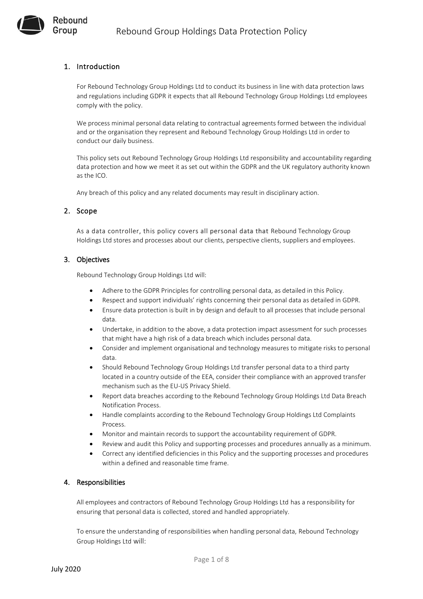# 1. Introduction

Rebound Group

> For Rebound Technology Group Holdings Ltd to conduct its business in line with data protection laws and regulations including GDPR it expects that all Rebound Technology Group Holdings Ltd employees comply with the policy.

> We process minimal personal data relating to contractual agreements formed between the individual and or the organisation they represent and Rebound Technology Group Holdings Ltd in order to conduct our daily business.

This policy sets out Rebound Technology Group Holdings Ltd responsibility and accountability regarding data protection and how we meet it as set out within the GDPR and the UK regulatory authority known as the ICO.

Any breach of this policy and any related documents may result in disciplinary action.

## 2. Scope

As a data controller, this policy covers all personal data that Rebound Technology Group Holdings Ltd stores and processes about our clients, perspective clients, suppliers and employees.

### 3. Objectives

Rebound Technology Group Holdings Ltd will:

- Adhere to the GDPR Principles for controlling personal data, as detailed in this Policy.
- Respect and support individuals' rights concerning their personal data as detailed in GDPR.
- Ensure data protection is built in by design and default to all processes that include personal data.
- Undertake, in addition to the above, a data protection impact assessment for such processes that might have a high risk of a data breach which includes personal data.
- Consider and implement organisational and technology measures to mitigate risks to personal data.
- Should Rebound Technology Group Holdings Ltd transfer personal data to a third party located in a country outside of the EEA, consider their compliance with an approved transfer mechanism such as the EU-US Privacy Shield.
- Report data breaches according to the Rebound Technology Group Holdings Ltd Data Breach Notification Process.
- Handle complaints according to the Rebound Technology Group Holdings Ltd Complaints Process.
- Monitor and maintain records to support the accountability requirement of GDPR.
- Review and audit this Policy and supporting processes and procedures annually as a minimum.
- Correct any identified deficiencies in this Policy and the supporting processes and procedures within a defined and reasonable time frame.

## 4. Responsibilities

All employees and contractors of Rebound Technology Group Holdings Ltd has a responsibility for ensuring that personal data is collected, stored and handled appropriately.

To ensure the understanding of responsibilities when handling personal data, Rebound Technology Group Holdings Ltd will: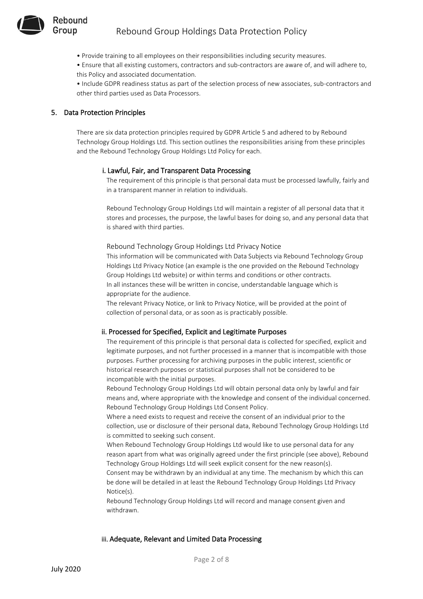- Provide training to all employees on their responsibilities including security measures.
- Ensure that all existing customers, contractors and sub-contractors are aware of, and will adhere to,
- this Policy and associated documentation.

• Include GDPR readiness status as part of the selection process of new associates, sub-contractors and other third parties used as Data Processors.

# 5. Data Protection Principles

There are six data protection principles required by GDPR Article 5 and adhered to by Rebound Technology Group Holdings Ltd. This section outlines the responsibilities arising from these principles and the Rebound Technology Group Holdings Ltd Policy for each.

## i. Lawful, Fair, and Transparent Data Processing

The requirement of this principle is that personal data must be processed lawfully, fairly and in a transparent manner in relation to individuals.

Rebound Technology Group Holdings Ltd will maintain a register of all personal data that it stores and processes, the purpose, the lawful bases for doing so, and any personal data that is shared with third parties.

Rebound Technology Group Holdings Ltd Privacy Notice

This information will be communicated with Data Subjects via Rebound Technology Group Holdings Ltd Privacy Notice (an example is the one provided on the Rebound Technology Group Holdings Ltd website) or within terms and conditions or other contracts. In all instances these will be written in concise, understandable language which is appropriate for the audience.

The relevant Privacy Notice, or link to Privacy Notice, will be provided at the point of collection of personal data, or as soon as is practicably possible.

## ii. Processed for Specified, Explicit and Legitimate Purposes

The requirement of this principle is that personal data is collected for specified, explicit and legitimate purposes, and not further processed in a manner that is incompatible with those purposes. Further processing for archiving purposes in the public interest, scientific or historical research purposes or statistical purposes shall not be considered to be incompatible with the initial purposes.

Rebound Technology Group Holdings Ltd will obtain personal data only by lawful and fair means and, where appropriate with the knowledge and consent of the individual concerned. Rebound Technology Group Holdings Ltd Consent Policy.

Where a need exists to request and receive the consent of an individual prior to the collection, use or disclosure of their personal data, Rebound Technology Group Holdings Ltd is committed to seeking such consent.

When Rebound Technology Group Holdings Ltd would like to use personal data for any reason apart from what was originally agreed under the first principle (see above), Rebound Technology Group Holdings Ltd will seek explicit consent for the new reason(s).

Consent may be withdrawn by an individual at any time. The mechanism by which this can be done will be detailed in at least the Rebound Technology Group Holdings Ltd Privacy Notice(s).

Rebound Technology Group Holdings Ltd will record and manage consent given and withdrawn.

## iii. Adequate, Relevant and Limited Data Processing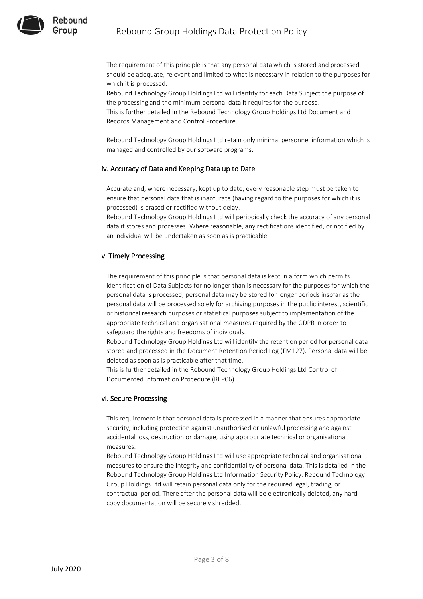

The requirement of this principle is that any personal data which is stored and processed should be adequate, relevant and limited to what is necessary in relation to the purposes for which it is processed.

Rebound Technology Group Holdings Ltd will identify for each Data Subject the purpose of the processing and the minimum personal data it requires for the purpose. This is further detailed in the Rebound Technology Group Holdings Ltd Document and

Records Management and Control Procedure.

Rebound Technology Group Holdings Ltd retain only minimal personnel information which is managed and controlled by our software programs.

## iv. Accuracy of Data and Keeping Data up to Date

Accurate and, where necessary, kept up to date; every reasonable step must be taken to ensure that personal data that is inaccurate (having regard to the purposes for which it is processed) is erased or rectified without delay.

Rebound Technology Group Holdings Ltd will periodically check the accuracy of any personal data it stores and processes. Where reasonable, any rectifications identified, or notified by an individual will be undertaken as soon as is practicable.

## v. Timely Processing

The requirement of this principle is that personal data is kept in a form which permits identification of Data Subjects for no longer than is necessary for the purposes for which the personal data is processed; personal data may be stored for longer periods insofar as the personal data will be processed solely for archiving purposes in the public interest, scientific or historical research purposes or statistical purposes subject to implementation of the appropriate technical and organisational measures required by the GDPR in order to safeguard the rights and freedoms of individuals.

Rebound Technology Group Holdings Ltd will identify the retention period for personal data stored and processed in the Document Retention Period Log (FM127). Personal data will be deleted as soon as is practicable after that time.

This is further detailed in the Rebound Technology Group Holdings Ltd Control of Documented Information Procedure (REP06).

## vi. Secure Processing

This requirement is that personal data is processed in a manner that ensures appropriate security, including protection against unauthorised or unlawful processing and against accidental loss, destruction or damage, using appropriate technical or organisational measures.

Rebound Technology Group Holdings Ltd will use appropriate technical and organisational measures to ensure the integrity and confidentiality of personal data. This is detailed in the Rebound Technology Group Holdings Ltd Information Security Policy. Rebound Technology Group Holdings Ltd will retain personal data only for the required legal, trading, or contractual period. There after the personal data will be electronically deleted, any hard copy documentation will be securely shredded.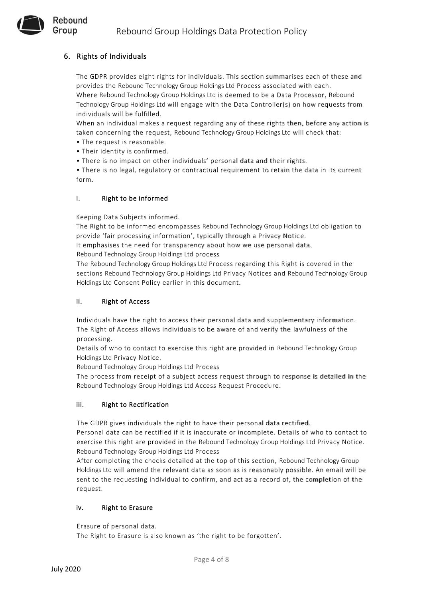# 6. Rights of Individuals

Rebound Group

> The GDPR provides eight rights for individuals. This section summarises each of these and provides the Rebound Technology Group Holdings Ltd Process associated with each. Where Rebound Technology Group Holdings Ltd is deemed to be a Data Processor, Rebound Technology Group Holdings Ltd will engage with the Data Controller(s) on how requests from individuals will be fulfilled.

When an individual makes a request regarding any of these rights then, before any action is taken concerning the request, Rebound Technology Group Holdings Ltd will check that:

- The request is reasonable.
- Their identity is confirmed.
- There is no impact on other individuals' personal data and their rights.

• There is no legal, regulatory or contractual requirement to retain the data in its current form.

# i. Right to be informed

Keeping Data Subjects informed.

The Right to be informed encompasses Rebound Technology Group Holdings Ltd obligation to provide 'fair processing information', typically through a Privacy Notice.

It emphasises the need for transparency about how we use personal data.

Rebound Technology Group Holdings Ltd process

The Rebound Technology Group Holdings Ltd Process regarding this Right is covered in the sections Rebound Technology Group Holdings Ltd Privacy Notices and Rebound Technology Group Holdings Ltd Consent Policy earlier in this document.

## ii. Right of Access

Individuals have the right to access their personal data and supplementary information. The Right of Access allows individuals to be aware of and verify the lawfulness of the processing.

Details of who to contact to exercise this right are provided in Rebound Technology Group Holdings Ltd Privacy Notice.

Rebound Technology Group Holdings Ltd Process

The process from receipt of a subject access request through to response is detailed in the Rebound Technology Group Holdings Ltd Access Request Procedure.

# iii. Right to Rectification

The GDPR gives individuals the right to have their personal data rectified.

Personal data can be rectified if it is inaccurate or incomplete. Details of who to contact to exercise this right are provided in the Rebound Technology Group Holdings Ltd Privacy Notice. Rebound Technology Group Holdings Ltd Process

After completing the checks detailed at the top of this section, Rebound Technology Group Holdings Ltd will amend the relevant data as soon as is reasonably possible. An email will be sent to the requesting individual to confirm, and act as a record of, the completion of the request.

# iv. Right to Erasure

Erasure of personal data.

The Right to Erasure is also known as 'the right to be forgotten'.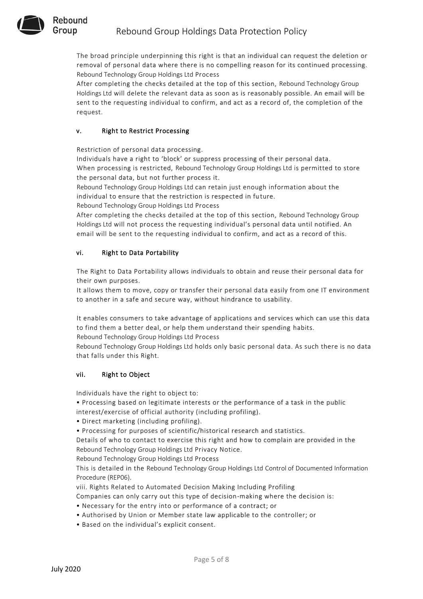

The broad principle underpinning this right is that an individual can request the deletion or removal of personal data where there is no compelling reason for its continued processing. Rebound Technology Group Holdings Ltd Process

After completing the checks detailed at the top of this section, Rebound Technology Group Holdings Ltd will delete the relevant data as soon as is reasonably possible. An email will be sent to the requesting individual to confirm, and act as a record of, the completion of the request.

# v. Right to Restrict Processing

Restriction of personal data processing.

Individuals have a right to 'block' or suppress processing of th eir personal data. When processing is restricted, Rebound Technology Group Holdings Ltd is permitted to store the personal data, but not further process it.

Rebound Technology Group Holdings Ltd can retain just enough information about the individual to ensure that the restriction is respected in future.

Rebound Technology Group Holdings Ltd Process

After completing the checks detailed at the top of this section, Rebound Technology Group Holdings Ltd will not process the requesting individual's personal data until notified. An email will be sent to the requesting individual to confirm, and act as a record of this.

# vi. Right to Data Portability

The Right to Data Portability allows individuals to obtain and reuse their personal data for their own purposes.

It allows them to move, copy or transfer their personal data easily from one IT environment to another in a safe and secure way, without hindrance to usability.

It enables consumers to take advantage of applications and services which can use this data to find them a better deal, or help them understand their spending habits.

Rebound Technology Group Holdings Ltd Process

Rebound Technology Group Holdings Ltd holds only basic personal data. As such there is no data that falls under this Right.

# vii. Right to Object

Individuals have the right to object to:

• Processing based on legitimate interests or the performance of a task in the public interest/exercise of official authority (including profiling).

- Direct marketing (including profiling).
- Processing for purposes of scientific/historical research and statistics.

Details of who to contact to exercise this right and how to complain are provided in the Rebound Technology Group Holdings Ltd Privacy Notice.

Rebound Technology Group Holdings Ltd Process

This is detailed in the Rebound Technology Group Holdings Ltd Control of Documented Information Procedure (REP06).

viii. Rights Related to Automated Decision Making Including Profiling

Companies can only carry out this type of decision-making where the decision is:

- Necessary for the entry into or performance of a contract; or
- Authorised by Union or Member state law applicable to the controller; or
- Based on the individual's explicit consent.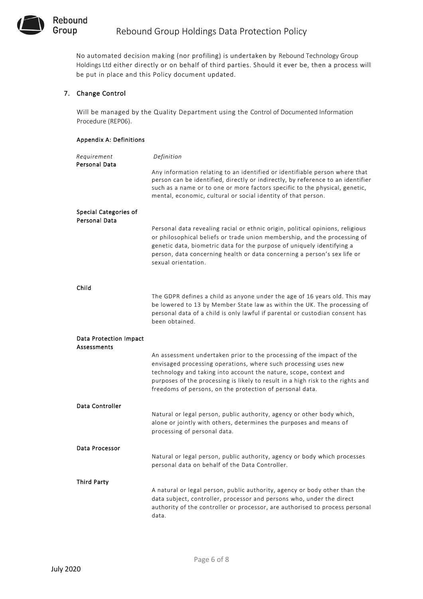

No automated decision making (nor profiling) is undertaken by Rebound Technology Group Holdings Ltd either directly or on behalf of third parties. Should it ever be, then a process will be put in place and this Policy document updated.

## 7. Change Control

Will be managed by the Quality Department using the Control of Documented Information Procedure (REP06).

#### Appendix A: Definitions

| Requirement<br>Personal Data                        | Definition                                                                                                                                                                                                                                                                                                                                                   |
|-----------------------------------------------------|--------------------------------------------------------------------------------------------------------------------------------------------------------------------------------------------------------------------------------------------------------------------------------------------------------------------------------------------------------------|
|                                                     | Any information relating to an identified or identifiable person where that<br>person can be identified, directly or indirectly, by reference to an identifier<br>such as a name or to one or more factors specific to the physical, genetic,<br>mental, economic, cultural or social identity of that person.                                               |
| Special Categories of                               |                                                                                                                                                                                                                                                                                                                                                              |
| Personal Data                                       | Personal data revealing racial or ethnic origin, political opinions, religious<br>or philosophical beliefs or trade union membership, and the processing of<br>genetic data, biometric data for the purpose of uniquely identifying a<br>person, data concerning health or data concerning a person's sex life or<br>sexual orientation.                     |
| Child                                               |                                                                                                                                                                                                                                                                                                                                                              |
|                                                     | The GDPR defines a child as anyone under the age of 16 years old. This may<br>be lowered to 13 by Member State law as within the UK. The processing of<br>personal data of a child is only lawful if parental or custodian consent has<br>been obtained.                                                                                                     |
| <b>Data Protection Impact</b><br><b>Assessments</b> |                                                                                                                                                                                                                                                                                                                                                              |
|                                                     | An assessment undertaken prior to the processing of the impact of the<br>envisaged processing operations, where such processing uses new<br>technology and taking into account the nature, scope, context and<br>purposes of the processing is likely to result in a high risk to the rights and<br>freedoms of persons, on the protection of personal data. |
| Data Controller                                     |                                                                                                                                                                                                                                                                                                                                                              |
|                                                     | Natural or legal person, public authority, agency or other body which,<br>alone or jointly with others, determines the purposes and means of<br>processing of personal data.                                                                                                                                                                                 |
| Data Processor                                      |                                                                                                                                                                                                                                                                                                                                                              |
|                                                     | Natural or legal person, public authority, agency or body which processes<br>personal data on behalf of the Data Controller.                                                                                                                                                                                                                                 |
| Third Party                                         |                                                                                                                                                                                                                                                                                                                                                              |
|                                                     | A natural or legal person, public authority, agency or body other than the<br>data subject, controller, processor and persons who, under the direct<br>authority of the controller or processor, are authorised to process personal<br>data.                                                                                                                 |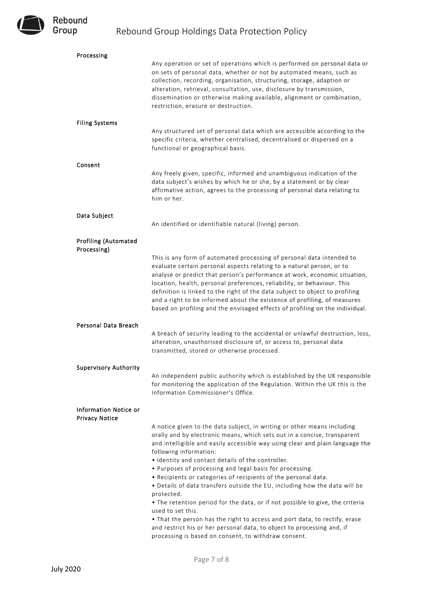

| Processing                                     |                                                                                                                                                                                                                                                                                                                                                                                                                                                                                                                                                                                                                                                                                                                                                                                                                                                                     |
|------------------------------------------------|---------------------------------------------------------------------------------------------------------------------------------------------------------------------------------------------------------------------------------------------------------------------------------------------------------------------------------------------------------------------------------------------------------------------------------------------------------------------------------------------------------------------------------------------------------------------------------------------------------------------------------------------------------------------------------------------------------------------------------------------------------------------------------------------------------------------------------------------------------------------|
|                                                | Any operation or set of operations which is performed on personal data or<br>on sets of personal data, whether or not by automated means, such as<br>collection, recording, organisation, structuring, storage, adaption or<br>alteration, retrieval, consultation, use, disclosure by transmission,<br>dissemination or otherwise making available, alignment or combination,<br>restriction, erasure or destruction.                                                                                                                                                                                                                                                                                                                                                                                                                                              |
| <b>Filing Systems</b>                          | Any structured set of personal data which are accessible according to the<br>specific criteria, whether centralised, decentralised or dispersed on a<br>functional or geographical basis.                                                                                                                                                                                                                                                                                                                                                                                                                                                                                                                                                                                                                                                                           |
| Consent                                        | Any freely given, specific, informed and unambiguous indication of the<br>data subject's wishes by which he or she, by a statement or by clear<br>affirmative action, agrees to the processing of personal data relating to<br>him or her.                                                                                                                                                                                                                                                                                                                                                                                                                                                                                                                                                                                                                          |
| Data Subject                                   | An identified or identifiable natural (living) person.                                                                                                                                                                                                                                                                                                                                                                                                                                                                                                                                                                                                                                                                                                                                                                                                              |
| <b>Profiling (Automated</b><br>Processing)     | This is any form of automated processing of personal data intended to<br>evaluate certain personal aspects relating to a natural person, or to<br>analyse or predict that person's performance at work, economic situation,<br>location, health, personal preferences, reliability, or behaviour. This<br>definition is linked to the right of the data subject to object to profiling<br>and a right to be informed about the existence of profiling, of measures<br>based on profiling and the envisaged effects of profiling on the individual.                                                                                                                                                                                                                                                                                                                  |
| Personal Data Breach                           | A breach of security leading to the accidental or unlawful destruction, loss,<br>alteration, unauthorised disclosure of, or access to, personal data<br>transmitted, stored or otherwise processed.                                                                                                                                                                                                                                                                                                                                                                                                                                                                                                                                                                                                                                                                 |
| <b>Supervisory Authority</b>                   | An independent public authority which is established by the UK responsible<br>for monitoring the application of the Regulation. Within the UK this is the<br>Information Commissioner's Office.                                                                                                                                                                                                                                                                                                                                                                                                                                                                                                                                                                                                                                                                     |
| Information Notice or<br><b>Privacy Notice</b> | A notice given to the data subject, in writing or other means including<br>orally and by electronic means, which sets out in a concise, transparent<br>and intelligible and easily accessible way using clear and plain language the<br>following information:<br>. Identity and contact details of the controller.<br>. Purposes of processing and legal basis for processing.<br>. Recipients or categories of recipients of the personal data.<br>. Details of data transfers outside the EU, including how the data will be<br>protected.<br>• The retention period for the data, or if not possible to give, the criteria<br>used to set this.<br>. That the person has the right to access and port data, to rectify, erase<br>and restrict his or her personal data, to object to processing and, if<br>processing is based on consent, to withdraw consent. |